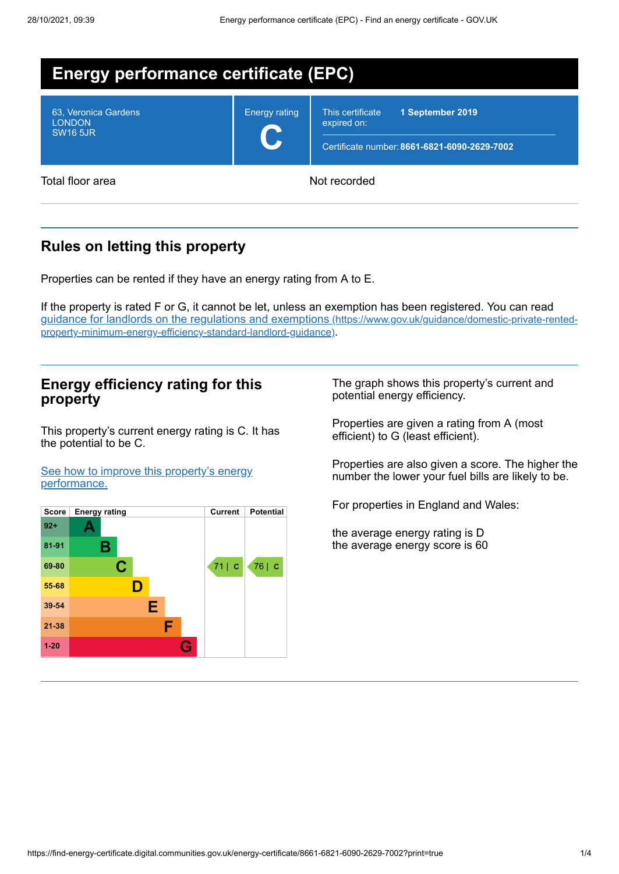

# **Rules on letting this property**

Properties can be rented if they have an energy rating from A to E.

If the property is rated F or G, it cannot be let, unless an exemption has been registered. You can read guidance for landlords on the regulations and exemptions (https://www.gov.uk/guidance/domestic-private-rented[property-minimum-energy-efficiency-standard-landlord-guidance\)](https://www.gov.uk/guidance/domestic-private-rented-property-minimum-energy-efficiency-standard-landlord-guidance).

## **Energy efficiency rating for this property**

This property's current energy rating is C. It has the potential to be C.

See how to improve this property's energy [performance.](#page-2-0)



The graph shows this property's current and potential energy efficiency.

Properties are given a rating from A (most efficient) to G (least efficient).

Properties are also given a score. The higher the number the lower your fuel bills are likely to be.

For properties in England and Wales:

the average energy rating is D the average energy score is 60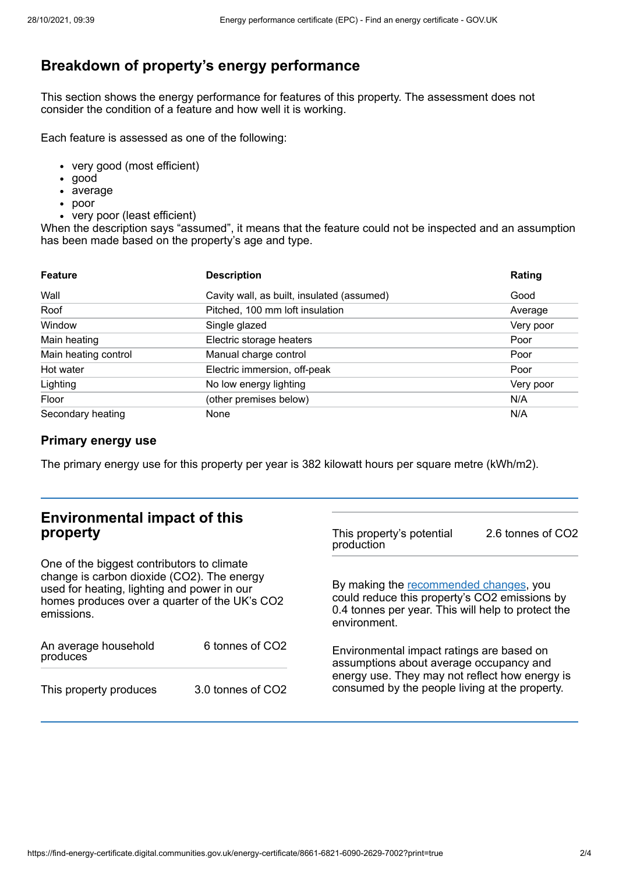# **Breakdown of property's energy performance**

This section shows the energy performance for features of this property. The assessment does not consider the condition of a feature and how well it is working.

Each feature is assessed as one of the following:

- very good (most efficient)
- good
- average
- poor
- very poor (least efficient)

When the description says "assumed", it means that the feature could not be inspected and an assumption has been made based on the property's age and type.

| <b>Feature</b>       | <b>Description</b>                         | Rating    |
|----------------------|--------------------------------------------|-----------|
| Wall                 | Cavity wall, as built, insulated (assumed) | Good      |
| Roof                 | Pitched, 100 mm loft insulation            | Average   |
| Window               | Single glazed                              | Very poor |
| Main heating         | Electric storage heaters                   | Poor      |
| Main heating control | Manual charge control                      | Poor      |
| Hot water            | Electric immersion, off-peak               | Poor      |
| Lighting             | No low energy lighting                     | Very poor |
| Floor                | (other premises below)                     | N/A       |
| Secondary heating    | None                                       | N/A       |

#### **Primary energy use**

The primary energy use for this property per year is 382 kilowatt hours per square metre (kWh/m2).

| <b>Environmental impact of this</b><br>property                                                                                                                                                        |                   | This property's potential<br>production                                                                                                                                                  | 2.6 tonnes of CO2 |  |
|--------------------------------------------------------------------------------------------------------------------------------------------------------------------------------------------------------|-------------------|------------------------------------------------------------------------------------------------------------------------------------------------------------------------------------------|-------------------|--|
| One of the biggest contributors to climate<br>change is carbon dioxide (CO2). The energy<br>used for heating, lighting and power in our<br>homes produces over a quarter of the UK's CO2<br>emissions. |                   | By making the recommended changes, you<br>could reduce this property's CO2 emissions by<br>0.4 tonnes per year. This will help to protect the<br>environment.                            |                   |  |
| An average household<br>produces                                                                                                                                                                       | 6 tonnes of CO2   | Environmental impact ratings are based on<br>assumptions about average occupancy and<br>energy use. They may not reflect how energy is<br>consumed by the people living at the property. |                   |  |
| This property produces                                                                                                                                                                                 | 3.0 tonnes of CO2 |                                                                                                                                                                                          |                   |  |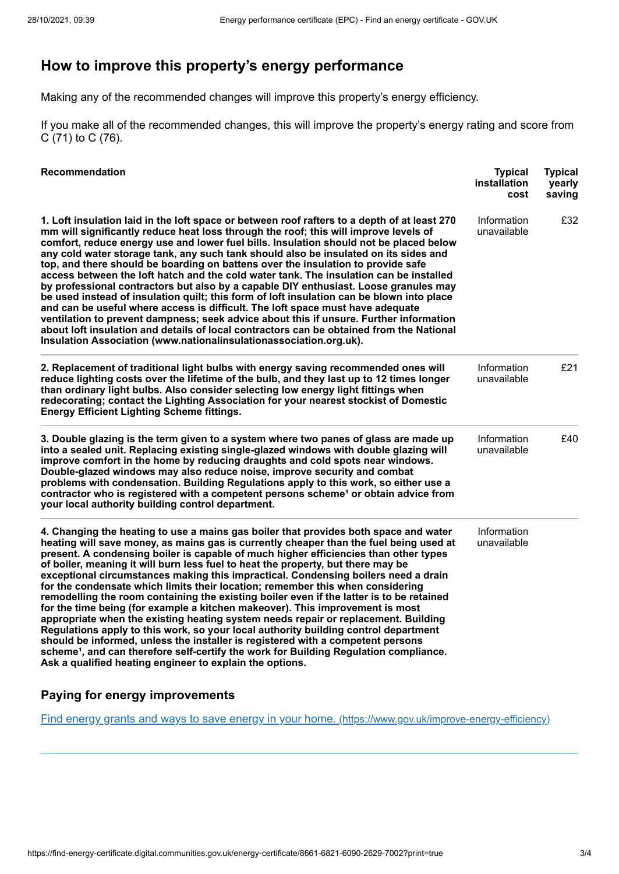# <span id="page-2-0"></span>**How to improve this property's energy performance**

Making any of the recommended changes will improve this property's energy efficiency.

If you make all of the recommended changes, this will improve the property's energy rating and score from C (71) to C (76).

| <b>Recommendation</b>                                                                                                                                                                                                                                                                                                                                                                                                                                                                                                                                                                                                                                                                                                                                                                                                                                                                                                                                                                                                                                                                                                                            | <b>Typical</b><br>installation<br>cost | <b>Typical</b><br>yearly<br>saving |
|--------------------------------------------------------------------------------------------------------------------------------------------------------------------------------------------------------------------------------------------------------------------------------------------------------------------------------------------------------------------------------------------------------------------------------------------------------------------------------------------------------------------------------------------------------------------------------------------------------------------------------------------------------------------------------------------------------------------------------------------------------------------------------------------------------------------------------------------------------------------------------------------------------------------------------------------------------------------------------------------------------------------------------------------------------------------------------------------------------------------------------------------------|----------------------------------------|------------------------------------|
| 1. Loft insulation laid in the loft space or between roof rafters to a depth of at least 270<br>mm will significantly reduce heat loss through the roof; this will improve levels of<br>comfort, reduce energy use and lower fuel bills. Insulation should not be placed below<br>any cold water storage tank, any such tank should also be insulated on its sides and<br>top, and there should be boarding on battens over the insulation to provide safe<br>access between the loft hatch and the cold water tank. The insulation can be installed<br>by professional contractors but also by a capable DIY enthusiast. Loose granules may<br>be used instead of insulation quilt; this form of loft insulation can be blown into place<br>and can be useful where access is difficult. The loft space must have adequate<br>ventilation to prevent dampness; seek advice about this if unsure. Further information<br>about loft insulation and details of local contractors can be obtained from the National<br>Insulation Association (www.nationalinsulationassociation.org.uk).                                                          | Information<br>unavailable             | £32                                |
| 2. Replacement of traditional light bulbs with energy saving recommended ones will<br>reduce lighting costs over the lifetime of the bulb, and they last up to 12 times longer<br>than ordinary light bulbs. Also consider selecting low energy light fittings when<br>redecorating; contact the Lighting Association for your nearest stockist of Domestic<br><b>Energy Efficient Lighting Scheme fittings.</b>                                                                                                                                                                                                                                                                                                                                                                                                                                                                                                                                                                                                                                                                                                                                 | Information<br>unavailable             | £21                                |
| 3. Double glazing is the term given to a system where two panes of glass are made up<br>into a sealed unit. Replacing existing single-glazed windows with double glazing will<br>improve comfort in the home by reducing draughts and cold spots near windows.<br>Double-glazed windows may also reduce noise, improve security and combat<br>problems with condensation. Building Regulations apply to this work, so either use a<br>contractor who is registered with a competent persons scheme <sup>1</sup> or obtain advice from<br>your local authority building control department.                                                                                                                                                                                                                                                                                                                                                                                                                                                                                                                                                       | Information<br>unavailable             | f40                                |
| 4. Changing the heating to use a mains gas boiler that provides both space and water<br>heating will save money, as mains gas is currently cheaper than the fuel being used at<br>present. A condensing boiler is capable of much higher efficiencies than other types<br>of boiler, meaning it will burn less fuel to heat the property, but there may be<br>exceptional circumstances making this impractical. Condensing boilers need a drain<br>for the condensate which limits their location; remember this when considering<br>remodelling the room containing the existing boiler even if the latter is to be retained<br>for the time being (for example a kitchen makeover). This improvement is most<br>appropriate when the existing heating system needs repair or replacement. Building<br>Regulations apply to this work, so your local authority building control department<br>should be informed, unless the installer is registered with a competent persons<br>scheme <sup>1</sup> , and can therefore self-certify the work for Building Regulation compliance.<br>Ask a qualified heating engineer to explain the options. | Information<br>unavailable             |                                    |

## **Paying for energy improvements**

Find energy grants and ways to save energy in your home. [\(https://www.gov.uk/improve-energy-efficiency\)](https://www.gov.uk/improve-energy-efficiency)